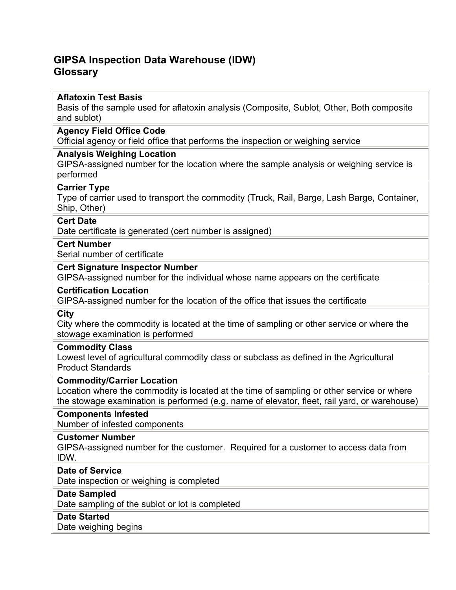# **GIPSA Inspection Data Warehouse (IDW) Glossary**

# **Aflatoxin Test Basis**

Basis of the sample used for aflatoxin analysis (Composite, Sublot, Other, Both composite and sublot)

### **Agency Field Office Code**

Official agency or field office that performs the inspection or weighing service

# **Analysis Weighing Location**

GIPSA-assigned number for the location where the sample analysis or weighing service is performed

# **Carrier Type**

Type of carrier used to transport the commodity (Truck, Rail, Barge, Lash Barge, Container, Ship, Other)

### **Cert Date**

Date certificate is generated (cert number is assigned)

# **Cert Number**

Serial number of certificate

# **Cert Signature Inspector Number**

GIPSA-assigned number for the individual whose name appears on the certificate

### **Certification Location**

GIPSA-assigned number for the location of the office that issues the certificate

#### **City**

City where the commodity is located at the time of sampling or other service or where the stowage examination is performed

### **Commodity Class**

Lowest level of agricultural commodity class or subclass as defined in the Agricultural Product Standards

### **Commodity/Carrier Location**

Location where the commodity is located at the time of sampling or other service or where the stowage examination is performed (e.g. name of elevator, fleet, rail yard, or warehouse)

### **Components Infested**

Number of infested components

### **Customer Number**

GIPSA-assigned number for the customer. Required for a customer to access data from IDW.

### **Date of Service**

Date inspection or weighing is completed

# **Date Sampled**

Date sampling of the sublot or lot is completed

# **Date Started**

Date weighing begins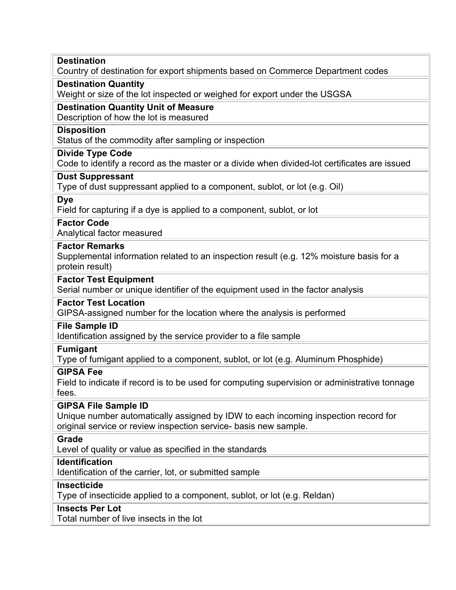# **Destination**

Country of destination for export shipments based on Commerce Department codes

# **Destination Quantity**

Weight or size of the lot inspected or weighed for export under the USGSA

# **Destination Quantity Unit of Measure**

Description of how the lot is measured

# **Disposition**

Status of the commodity after sampling or inspection

# **Divide Type Code**

Code to identify a record as the master or a divide when divided-lot certificates are issued

# **Dust Suppressant**

Type of dust suppressant applied to a component, sublot, or lot (e.g. Oil)

### **Dye**

Field for capturing if a dye is applied to a component, sublot, or lot

# **Factor Code**

Analytical factor measured

# **Factor Remarks**

Supplemental information related to an inspection result (e.g. 12% moisture basis for a protein result)

# **Factor Test Equipment**

Serial number or unique identifier of the equipment used in the factor analysis

### **Factor Test Location**

GIPSA-assigned number for the location where the analysis is performed

# **File Sample ID**

Identification assigned by the service provider to a file sample

### **Fumigant**

Type of fumigant applied to a component, sublot, or lot (e.g. Aluminum Phosphide)

# **GIPSA Fee**

Field to indicate if record is to be used for computing supervision or administrative tonnage fees.

# **GIPSA File Sample ID**

Unique number automatically assigned by IDW to each incoming inspection record for original service or review inspection service- basis new sample.

# **Grade**

Level of quality or value as specified in the standards

# **Identification**

Identification of the carrier, lot, or submitted sample

### **Insecticide**

Type of insecticide applied to a component, sublot, or lot (e.g. Reldan)

# **Insects Per Lot**

Total number of live insects in the lot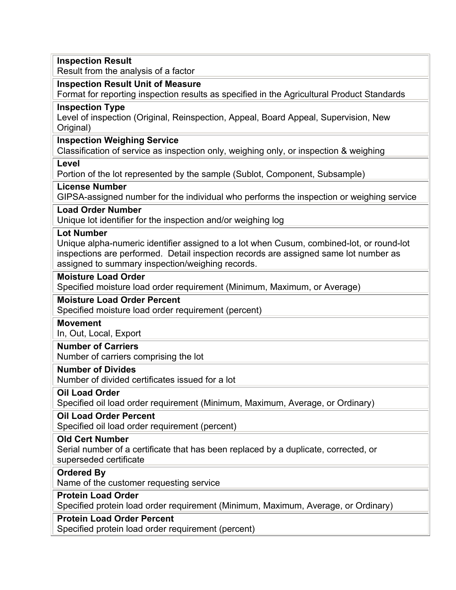| <b>Inspection Result</b>                                                                                                                                                                                                                                  |
|-----------------------------------------------------------------------------------------------------------------------------------------------------------------------------------------------------------------------------------------------------------|
| Result from the analysis of a factor                                                                                                                                                                                                                      |
| <b>Inspection Result Unit of Measure</b>                                                                                                                                                                                                                  |
| Format for reporting inspection results as specified in the Agricultural Product Standards                                                                                                                                                                |
| <b>Inspection Type</b><br>Level of inspection (Original, Reinspection, Appeal, Board Appeal, Supervision, New<br>Original)                                                                                                                                |
| <b>Inspection Weighing Service</b><br>Classification of service as inspection only, weighing only, or inspection & weighing                                                                                                                               |
| Level<br>Portion of the lot represented by the sample (Sublot, Component, Subsample)                                                                                                                                                                      |
| <b>License Number</b><br>GIPSA-assigned number for the individual who performs the inspection or weighing service                                                                                                                                         |
| <b>Load Order Number</b><br>Unique lot identifier for the inspection and/or weighing log                                                                                                                                                                  |
| <b>Lot Number</b><br>Unique alpha-numeric identifier assigned to a lot when Cusum, combined-lot, or round-lot<br>inspections are performed. Detail inspection records are assigned same lot number as<br>assigned to summary inspection/weighing records. |
| <b>Moisture Load Order</b><br>Specified moisture load order requirement (Minimum, Maximum, or Average)                                                                                                                                                    |
| <b>Moisture Load Order Percent</b><br>Specified moisture load order requirement (percent)                                                                                                                                                                 |
| <b>Movement</b><br>In, Out, Local, Export                                                                                                                                                                                                                 |
| <b>Number of Carriers</b><br>Number of carriers comprising the lot                                                                                                                                                                                        |
| <b>Number of Divides</b><br>Number of divided certificates issued for a lot                                                                                                                                                                               |
| <b>Oil Load Order</b><br>Specified oil load order requirement (Minimum, Maximum, Average, or Ordinary)                                                                                                                                                    |
| <b>Oil Load Order Percent</b><br>Specified oil load order requirement (percent)                                                                                                                                                                           |
| <b>Old Cert Number</b><br>Serial number of a certificate that has been replaced by a duplicate, corrected, or<br>superseded certificate                                                                                                                   |
| <b>Ordered By</b><br>Name of the customer requesting service                                                                                                                                                                                              |
| <b>Protein Load Order</b><br>Specified protein load order requirement (Minimum, Maximum, Average, or Ordinary)                                                                                                                                            |
| <b>Protein Load Order Percent</b><br>Specified protein load order requirement (percent)                                                                                                                                                                   |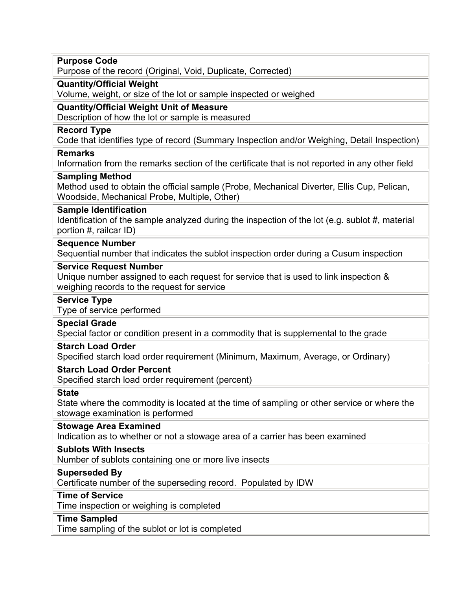| <b>Purpose Code</b><br>Purpose of the record (Original, Void, Duplicate, Corrected)                                                                                  |
|----------------------------------------------------------------------------------------------------------------------------------------------------------------------|
| <b>Quantity/Official Weight</b><br>Volume, weight, or size of the lot or sample inspected or weighed                                                                 |
|                                                                                                                                                                      |
| <b>Quantity/Official Weight Unit of Measure</b><br>Description of how the lot or sample is measured                                                                  |
| <b>Record Type</b><br>Code that identifies type of record (Summary Inspection and/or Weighing, Detail Inspection)                                                    |
| <b>Remarks</b><br>Information from the remarks section of the certificate that is not reported in any other field                                                    |
| <b>Sampling Method</b><br>Method used to obtain the official sample (Probe, Mechanical Diverter, Ellis Cup, Pelican,<br>Woodside, Mechanical Probe, Multiple, Other) |
| <b>Sample Identification</b><br>Identification of the sample analyzed during the inspection of the lot (e.g. sublot #, material<br>portion #, railcar ID)            |
| <b>Sequence Number</b><br>Sequential number that indicates the sublot inspection order during a Cusum inspection                                                     |
| <b>Service Request Number</b><br>Unique number assigned to each request for service that is used to link inspection &<br>weighing records to the request for service |
| <b>Service Type</b><br>Type of service performed                                                                                                                     |
| <b>Special Grade</b>                                                                                                                                                 |
| Special factor or condition present in a commodity that is supplemental to the grade                                                                                 |
| <b>Starch Load Order</b><br>Specified starch load order requirement (Minimum, Maximum, Average, or Ordinary)                                                         |
| <b>Starch Load Order Percent</b><br>Specified starch load order requirement (percent)                                                                                |
| <b>State</b><br>State where the commodity is located at the time of sampling or other service or where the<br>stowage examination is performed                       |
| <b>Stowage Area Examined</b><br>Indication as to whether or not a stowage area of a carrier has been examined                                                        |
| <b>Sublots With Insects</b><br>Number of sublots containing one or more live insects                                                                                 |
| <b>Superseded By</b><br>Certificate number of the superseding record. Populated by IDW                                                                               |
| <b>Time of Service</b><br>Time inspection or weighing is completed                                                                                                   |
| <b>Time Sampled</b>                                                                                                                                                  |
|                                                                                                                                                                      |